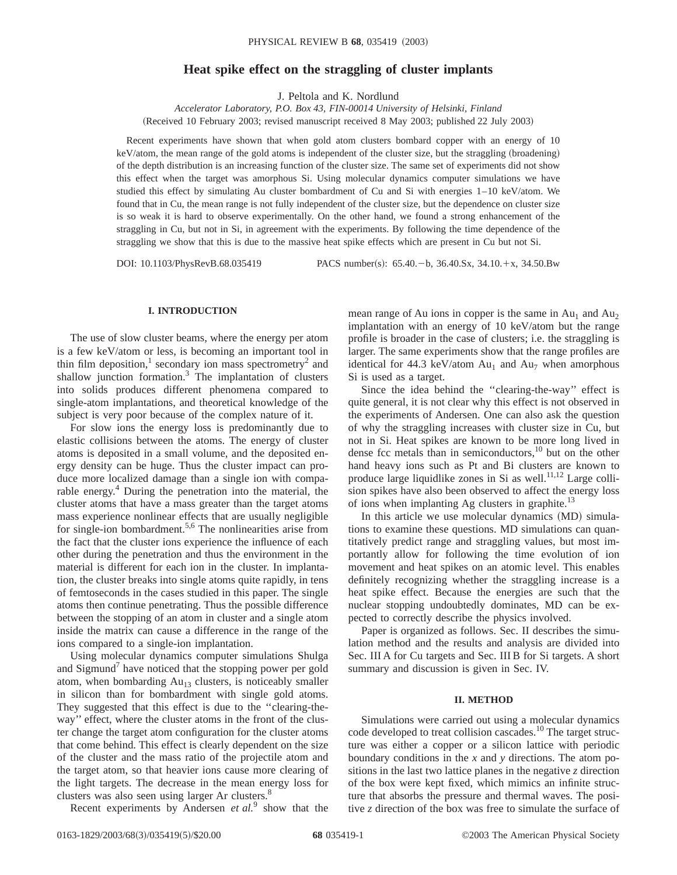# **Heat spike effect on the straggling of cluster implants**

J. Peltola and K. Nordlund

*Accelerator Laboratory, P.O. Box 43, FIN-00014 University of Helsinki, Finland* (Received 10 February 2003; revised manuscript received 8 May 2003; published 22 July 2003)

Recent experiments have shown that when gold atom clusters bombard copper with an energy of 10 keV/atom, the mean range of the gold atoms is independent of the cluster size, but the straggling (broadening) of the depth distribution is an increasing function of the cluster size. The same set of experiments did not show this effect when the target was amorphous Si. Using molecular dynamics computer simulations we have studied this effect by simulating Au cluster bombardment of Cu and Si with energies 1–10 keV/atom. We found that in Cu, the mean range is not fully independent of the cluster size, but the dependence on cluster size is so weak it is hard to observe experimentally. On the other hand, we found a strong enhancement of the straggling in Cu, but not in Si, in agreement with the experiments. By following the time dependence of the straggling we show that this is due to the massive heat spike effects which are present in Cu but not Si.

DOI: 10.1103/PhysRevB.68.035419 PACS number(s): 65.40.-b, 36.40.Sx, 34.10.+x, 34.50.Bw

### **I. INTRODUCTION**

The use of slow cluster beams, where the energy per atom is a few keV/atom or less, is becoming an important tool in thin film deposition,<sup>1</sup> secondary ion mass spectrometry<sup>2</sup> and shallow junction formation. $3$  The implantation of clusters into solids produces different phenomena compared to single-atom implantations, and theoretical knowledge of the subject is very poor because of the complex nature of it.

For slow ions the energy loss is predominantly due to elastic collisions between the atoms. The energy of cluster atoms is deposited in a small volume, and the deposited energy density can be huge. Thus the cluster impact can produce more localized damage than a single ion with comparable energy.<sup>4</sup> During the penetration into the material, the cluster atoms that have a mass greater than the target atoms mass experience nonlinear effects that are usually negligible for single-ion bombardment.<sup>5,6</sup> The nonlinearities arise from the fact that the cluster ions experience the influence of each other during the penetration and thus the environment in the material is different for each ion in the cluster. In implantation, the cluster breaks into single atoms quite rapidly, in tens of femtoseconds in the cases studied in this paper. The single atoms then continue penetrating. Thus the possible difference between the stopping of an atom in cluster and a single atom inside the matrix can cause a difference in the range of the ions compared to a single-ion implantation.

Using molecular dynamics computer simulations Shulga and Sigmund<sup> $\prime$ </sup> have noticed that the stopping power per gold atom, when bombarding  $Au_{13}$  clusters, is noticeably smaller in silicon than for bombardment with single gold atoms. They suggested that this effect is due to the ''clearing-theway'' effect, where the cluster atoms in the front of the cluster change the target atom configuration for the cluster atoms that come behind. This effect is clearly dependent on the size of the cluster and the mass ratio of the projectile atom and the target atom, so that heavier ions cause more clearing of the light targets. The decrease in the mean energy loss for clusters was also seen using larger Ar clusters.<sup>8</sup>

Recent experiments by Andersen *et al.*<sup>9</sup> show that the

mean range of Au ions in copper is the same in  $Au_1$  and  $Au_2$ implantation with an energy of 10 keV/atom but the range profile is broader in the case of clusters; i.e. the straggling is larger. The same experiments show that the range profiles are identical for 44.3 keV/atom  $Au_1$  and  $Au_7$  when amorphous Si is used as a target.

Since the idea behind the ''clearing-the-way'' effect is quite general, it is not clear why this effect is not observed in the experiments of Andersen. One can also ask the question of why the straggling increases with cluster size in Cu, but not in Si. Heat spikes are known to be more long lived in dense fcc metals than in semiconductors, $^{10}$  but on the other hand heavy ions such as Pt and Bi clusters are known to produce large liquidlike zones in Si as well. $^{11,12}$  Large collision spikes have also been observed to affect the energy loss of ions when implanting Ag clusters in graphite. $^{13}$ 

In this article we use molecular dynamics (MD) simulations to examine these questions. MD simulations can quantitatively predict range and straggling values, but most importantly allow for following the time evolution of ion movement and heat spikes on an atomic level. This enables definitely recognizing whether the straggling increase is a heat spike effect. Because the energies are such that the nuclear stopping undoubtedly dominates, MD can be expected to correctly describe the physics involved.

Paper is organized as follows. Sec. II describes the simulation method and the results and analysis are divided into Sec. III A for Cu targets and Sec. III B for Si targets. A short summary and discussion is given in Sec. IV.

#### **II. METHOD**

Simulations were carried out using a molecular dynamics code developed to treat collision cascades.<sup>10</sup> The target structure was either a copper or a silicon lattice with periodic boundary conditions in the *x* and *y* directions. The atom positions in the last two lattice planes in the negative *z* direction of the box were kept fixed, which mimics an infinite structure that absorbs the pressure and thermal waves. The positive *z* direction of the box was free to simulate the surface of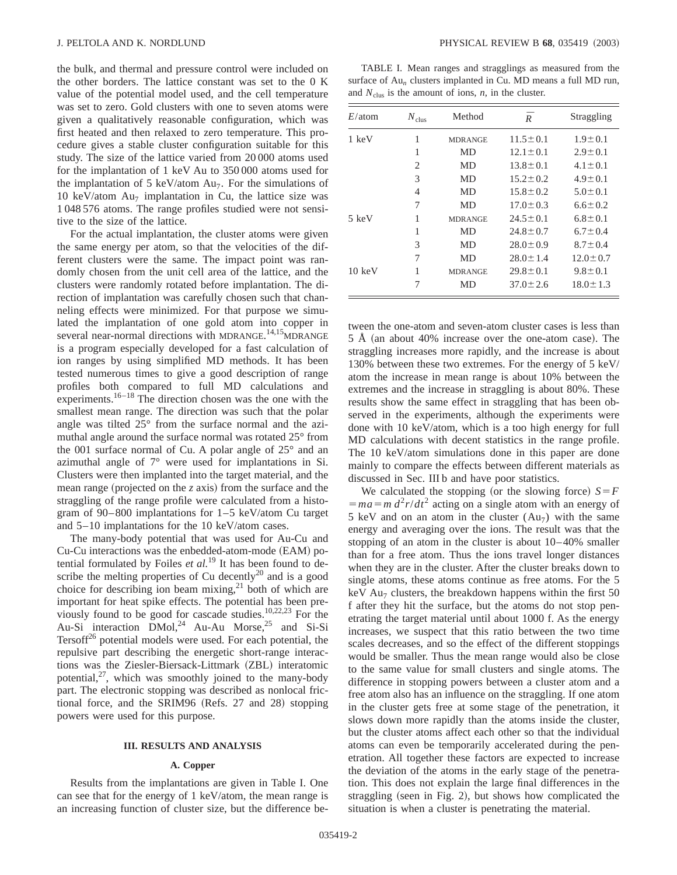the bulk, and thermal and pressure control were included on the other borders. The lattice constant was set to the 0 K value of the potential model used, and the cell temperature was set to zero. Gold clusters with one to seven atoms were given a qualitatively reasonable configuration, which was first heated and then relaxed to zero temperature. This procedure gives a stable cluster configuration suitable for this study. The size of the lattice varied from 20 000 atoms used for the implantation of 1 keV Au to 350 000 atoms used for the implantation of 5 keV/atom  $Au_7$ . For the simulations of 10 keV/atom  $Au<sub>7</sub>$  implantation in Cu, the lattice size was 1 048 576 atoms. The range profiles studied were not sensitive to the size of the lattice.

For the actual implantation, the cluster atoms were given the same energy per atom, so that the velocities of the different clusters were the same. The impact point was randomly chosen from the unit cell area of the lattice, and the clusters were randomly rotated before implantation. The direction of implantation was carefully chosen such that channeling effects were minimized. For that purpose we simulated the implantation of one gold atom into copper in several near-normal directions with MDRANGE.<sup>14,15</sup>MDRANGE is a program especially developed for a fast calculation of ion ranges by using simplified MD methods. It has been tested numerous times to give a good description of range profiles both compared to full MD calculations and experiments.<sup>16–18</sup> The direction chosen was the one with the smallest mean range. The direction was such that the polar angle was tilted 25° from the surface normal and the azimuthal angle around the surface normal was rotated 25° from the 001 surface normal of Cu. A polar angle of 25° and an azimuthal angle of 7° were used for implantations in Si. Clusters were then implanted into the target material, and the mean range (projected on the  $\zeta$  axis) from the surface and the straggling of the range profile were calculated from a histogram of 90–800 implantations for 1–5 keV/atom Cu target and 5–10 implantations for the 10 keV/atom cases.

The many-body potential that was used for Au-Cu and Cu-Cu interactions was the enbedded-atom-mode (EAM) potential formulated by Foiles *et al.*<sup>19</sup> It has been found to describe the melting properties of Cu decently $^{20}$  and is a good choice for describing ion beam mixing, $2<sup>1</sup>$  both of which are important for heat spike effects. The potential has been previously found to be good for cascade studies. $10,22,23$  For the Au-Si interaction  $\text{DMol}^{24}$  Au-Au Morse,<sup>25</sup> and Si-Si Tersoff $26$  potential models were used. For each potential, the repulsive part describing the energetic short-range interactions was the Ziesler-Biersack-Littmark (ZBL) interatomic potential, $27$ , which was smoothly joined to the many-body part. The electronic stopping was described as nonlocal frictional force, and the SRIM96  $(Refs. 27 and 28)$  stopping powers were used for this purpose.

#### **III. RESULTS AND ANALYSIS**

## **A. Copper**

Results from the implantations are given in Table I. One can see that for the energy of 1 keV/atom, the mean range is an increasing function of cluster size, but the difference be-

TABLE I. Mean ranges and stragglings as measured from the surface of Au*<sup>n</sup>* clusters implanted in Cu. MD means a full MD run, and  $N_{\text{clus}}$  is the amount of ions,  $n$ , in the cluster.

| $E/\text{atom}$  | $N_{\text{clus}}$ | Method         | $\bar{R}$      | Straggling     |
|------------------|-------------------|----------------|----------------|----------------|
| 1 keV            | 1                 | <b>MDRANGE</b> | $11.5 \pm 0.1$ | $1.9 \pm 0.1$  |
|                  | 1                 | MD             | $12.1 \pm 0.1$ | $2.9 \pm 0.1$  |
|                  | 2                 | MD             | $13.8 \pm 0.1$ | $4.1 \pm 0.1$  |
|                  | 3                 | MD             | $15.2 \pm 0.2$ | $4.9 \pm 0.1$  |
|                  | 4                 | MD             | $15.8 \pm 0.2$ | $5.0 \pm 0.1$  |
|                  | 7                 | MD             | $17.0 \pm 0.3$ | $6.6 \pm 0.2$  |
| 5 keV            | 1                 | <b>MDRANGE</b> | $24.5 \pm 0.1$ | $6.8 \pm 0.1$  |
|                  | 1                 | MD             | $24.8 \pm 0.7$ | $6.7 \pm 0.4$  |
|                  | 3                 | MD             | $28.0 \pm 0.9$ | $8.7 \pm 0.4$  |
|                  | 7                 | MD             | $28.0 \pm 1.4$ | $12.0 \pm 0.7$ |
| $10 \text{ keV}$ | 1                 | <b>MDRANGE</b> | $29.8 \pm 0.1$ | $9.8 \pm 0.1$  |
|                  | 7                 | MD             | $37.0 \pm 2.6$ | $18.0 \pm 1.3$ |

tween the one-atom and seven-atom cluster cases is less than  $5 \text{ Å}$  (an about 40% increase over the one-atom case). The straggling increases more rapidly, and the increase is about 130% between these two extremes. For the energy of 5 keV/ atom the increase in mean range is about 10% between the extremes and the increase in straggling is about 80%. These results show the same effect in straggling that has been observed in the experiments, although the experiments were done with 10 keV/atom, which is a too high energy for full MD calculations with decent statistics in the range profile. The 10 keV/atom simulations done in this paper are done mainly to compare the effects between different materials as discussed in Sec. III b and have poor statistics.

We calculated the stopping (or the slowing force)  $S = F$  $= ma = m d^2r/dt^2$  acting on a single atom with an energy of 5 keV and on an atom in the cluster  $(Au_7)$  with the same energy and averaging over the ions. The result was that the stopping of an atom in the cluster is about 10–40% smaller than for a free atom. Thus the ions travel longer distances when they are in the cluster. After the cluster breaks down to single atoms, these atoms continue as free atoms. For the 5 keV Au<sub>7</sub> clusters, the breakdown happens within the first 50 f after they hit the surface, but the atoms do not stop penetrating the target material until about 1000 f. As the energy increases, we suspect that this ratio between the two time scales decreases, and so the effect of the different stoppings would be smaller. Thus the mean range would also be close to the same value for small clusters and single atoms. The difference in stopping powers between a cluster atom and a free atom also has an influence on the straggling. If one atom in the cluster gets free at some stage of the penetration, it slows down more rapidly than the atoms inside the cluster, but the cluster atoms affect each other so that the individual atoms can even be temporarily accelerated during the penetration. All together these factors are expected to increase the deviation of the atoms in the early stage of the penetration. This does not explain the large final differences in the straggling (seen in Fig. 2), but shows how complicated the situation is when a cluster is penetrating the material.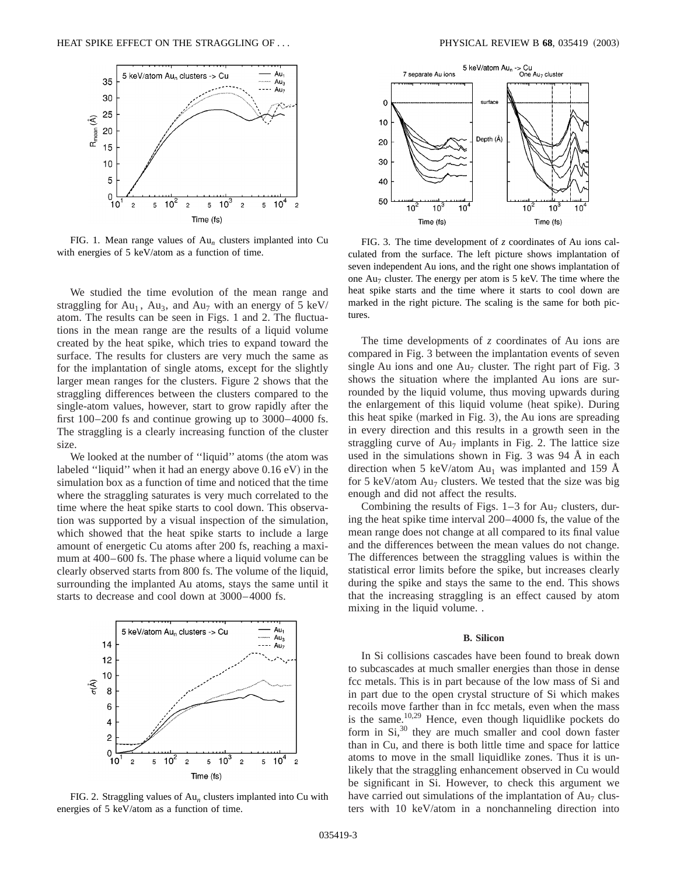

FIG. 1. Mean range values of Au*<sup>n</sup>* clusters implanted into Cu with energies of 5 keV/atom as a function of time.

We studied the time evolution of the mean range and straggling for  $Au_1$ ,  $Au_3$ , and  $Au_7$  with an energy of 5 keV/ atom. The results can be seen in Figs. 1 and 2. The fluctuations in the mean range are the results of a liquid volume created by the heat spike, which tries to expand toward the surface. The results for clusters are very much the same as for the implantation of single atoms, except for the slightly larger mean ranges for the clusters. Figure 2 shows that the straggling differences between the clusters compared to the single-atom values, however, start to grow rapidly after the first 100–200 fs and continue growing up to 3000–4000 fs. The straggling is a clearly increasing function of the cluster size.

We looked at the number of "liquid" atoms (the atom was labeled "liquid" when it had an energy above  $0.16 \text{ eV}$ ) in the simulation box as a function of time and noticed that the time where the straggling saturates is very much correlated to the time where the heat spike starts to cool down. This observation was supported by a visual inspection of the simulation, which showed that the heat spike starts to include a large amount of energetic Cu atoms after 200 fs, reaching a maximum at 400–600 fs. The phase where a liquid volume can be clearly observed starts from 800 fs. The volume of the liquid, surrounding the implanted Au atoms, stays the same until it starts to decrease and cool down at 3000–4000 fs.



FIG. 2. Straggling values of Au*<sup>n</sup>* clusters implanted into Cu with energies of 5 keV/atom as a function of time.



FIG. 3. The time development of *z* coordinates of Au ions calculated from the surface. The left picture shows implantation of seven independent Au ions, and the right one shows implantation of one  $Au_7$  cluster. The energy per atom is 5 keV. The time where the heat spike starts and the time where it starts to cool down are marked in the right picture. The scaling is the same for both pictures.

The time developments of *z* coordinates of Au ions are compared in Fig. 3 between the implantation events of seven single Au ions and one  $Au_7$  cluster. The right part of Fig. 3 shows the situation where the implanted Au ions are surrounded by the liquid volume, thus moving upwards during the enlargement of this liquid volume (heat spike). During this heat spike (marked in Fig. 3), the Au ions are spreading in every direction and this results in a growth seen in the straggling curve of  $Au<sub>7</sub>$  implants in Fig. 2. The lattice size used in the simulations shown in Fig. 3 was 94 Å in each direction when 5 keV/atom  $Au_1$  was implanted and 159 Å for 5 keV/atom  $Au<sub>7</sub>$  clusters. We tested that the size was big enough and did not affect the results.

Combining the results of Figs.  $1-3$  for Au<sub>7</sub> clusters, during the heat spike time interval 200–4000 fs, the value of the mean range does not change at all compared to its final value and the differences between the mean values do not change. The differences between the straggling values is within the statistical error limits before the spike, but increases clearly during the spike and stays the same to the end. This shows that the increasing straggling is an effect caused by atom mixing in the liquid volume. .

### **B. Silicon**

In Si collisions cascades have been found to break down to subcascades at much smaller energies than those in dense fcc metals. This is in part because of the low mass of Si and in part due to the open crystal structure of Si which makes recoils move farther than in fcc metals, even when the mass is the same. $10,29$  Hence, even though liquidlike pockets do form in  $Si$ ,  $30$  they are much smaller and cool down faster than in Cu, and there is both little time and space for lattice atoms to move in the small liquidlike zones. Thus it is unlikely that the straggling enhancement observed in Cu would be significant in Si. However, to check this argument we have carried out simulations of the implantation of  $Au<sub>7</sub>$  clusters with 10 keV/atom in a nonchanneling direction into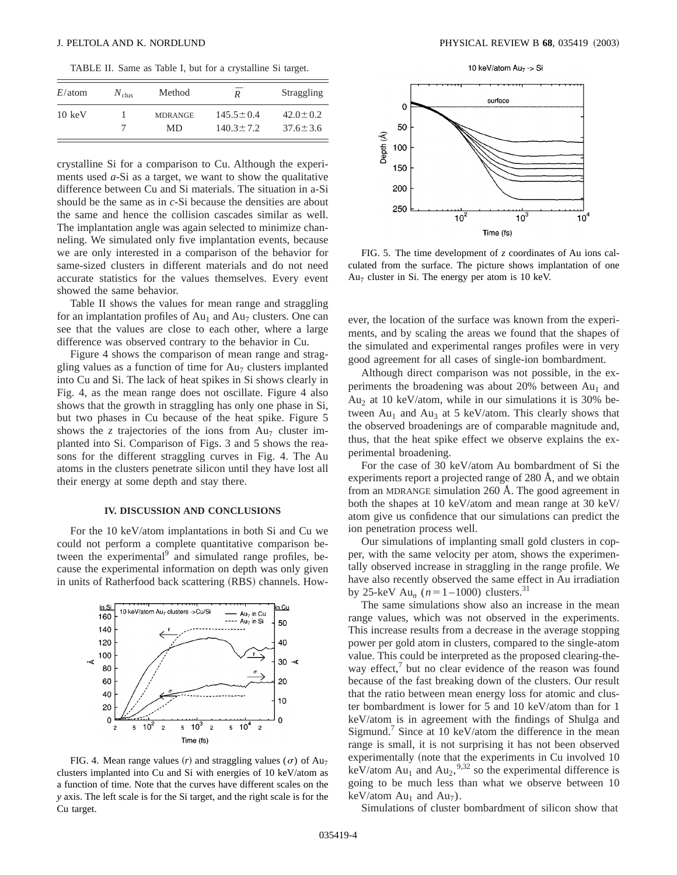TABLE II. Same as Table I, but for a crystalline Si target.

| $E/\text{atom}$  | $N_{\text{clus}}$ | Method               | $\overline{R}$                     | Straggling                       |
|------------------|-------------------|----------------------|------------------------------------|----------------------------------|
| $10 \text{ keV}$ |                   | <b>MDRANGE</b><br>MD | $145.5 \pm 0.4$<br>$140.3 \pm 7.2$ | $42.0 \pm 0.2$<br>$37.6 \pm 3.6$ |
|                  |                   |                      |                                    |                                  |

crystalline Si for a comparison to Cu. Although the experiments used *a*-Si as a target, we want to show the qualitative difference between Cu and Si materials. The situation in a-Si should be the same as in *c*-Si because the densities are about the same and hence the collision cascades similar as well. The implantation angle was again selected to minimize channeling. We simulated only five implantation events, because we are only interested in a comparison of the behavior for same-sized clusters in different materials and do not need accurate statistics for the values themselves. Every event showed the same behavior.

Table II shows the values for mean range and straggling for an implantation profiles of  $Au_1$  and  $Au_7$  clusters. One can see that the values are close to each other, where a large difference was observed contrary to the behavior in Cu.

Figure 4 shows the comparison of mean range and straggling values as a function of time for  $Au_7$  clusters implanted into Cu and Si. The lack of heat spikes in Si shows clearly in Fig. 4, as the mean range does not oscillate. Figure 4 also shows that the growth in straggling has only one phase in Si, but two phases in Cu because of the heat spike. Figure 5 shows the *z* trajectories of the ions from  $Au_7$  cluster implanted into Si. Comparison of Figs. 3 and 5 shows the reasons for the different straggling curves in Fig. 4. The Au atoms in the clusters penetrate silicon until they have lost all their energy at some depth and stay there.

# **IV. DISCUSSION AND CONCLUSIONS**

For the 10 keV/atom implantations in both Si and Cu we could not perform a complete quantitative comparison between the experimental<sup>9</sup> and simulated range profiles, because the experimental information on depth was only given in units of Ratherfood back scattering (RBS) channels. How-



FIG. 4. Mean range values (*r*) and straggling values ( $\sigma$ ) of Au<sub>7</sub> clusters implanted into Cu and Si with energies of 10 keV/atom as a function of time. Note that the curves have different scales on the *y* axis. The left scale is for the Si target, and the right scale is for the Cu target.



FIG. 5. The time development of *z* coordinates of Au ions calculated from the surface. The picture shows implantation of one  $Au<sub>7</sub>$  cluster in Si. The energy per atom is 10 keV.

ever, the location of the surface was known from the experiments, and by scaling the areas we found that the shapes of the simulated and experimental ranges profiles were in very good agreement for all cases of single-ion bombardment.

Although direct comparison was not possible, in the experiments the broadening was about  $20\%$  between  $Au_1$  and Au<sub>2</sub> at 10 keV/atom, while in our simulations it is 30% between Au<sub>1</sub> and Au<sub>3</sub> at 5 keV/atom. This clearly shows that the observed broadenings are of comparable magnitude and, thus, that the heat spike effect we observe explains the experimental broadening.

For the case of 30 keV/atom Au bombardment of Si the experiments report a projected range of 280 Å, and we obtain from an MDRANGE simulation 260 Å. The good agreement in both the shapes at 10 keV/atom and mean range at 30 keV/ atom give us confidence that our simulations can predict the ion penetration process well.

Our simulations of implanting small gold clusters in copper, with the same velocity per atom, shows the experimentally observed increase in straggling in the range profile. We have also recently observed the same effect in Au irradiation by 25-keV Au<sub>n</sub> ( $n=1-1000$ ) clusters.<sup>31</sup>

The same simulations show also an increase in the mean range values, which was not observed in the experiments. This increase results from a decrease in the average stopping power per gold atom in clusters, compared to the single-atom value. This could be interpreted as the proposed clearing-theway effect, $\frac{7}{1}$  but no clear evidence of the reason was found because of the fast breaking down of the clusters. Our result that the ratio between mean energy loss for atomic and cluster bombardment is lower for 5 and 10 keV/atom than for 1 keV/atom is in agreement with the findings of Shulga and Sigmund.<sup>7</sup> Since at 10 keV/atom the difference in the mean range is small, it is not surprising it has not been observed experimentally (note that the experiments in Cu involved 10 keV/atom  $Au_1$  and  $Au_2$ , <sup>9,32</sup> so the experimental difference is going to be much less than what we observe between 10 keV/atom  $Au_1$  and  $Au_7$ ).

Simulations of cluster bombardment of silicon show that